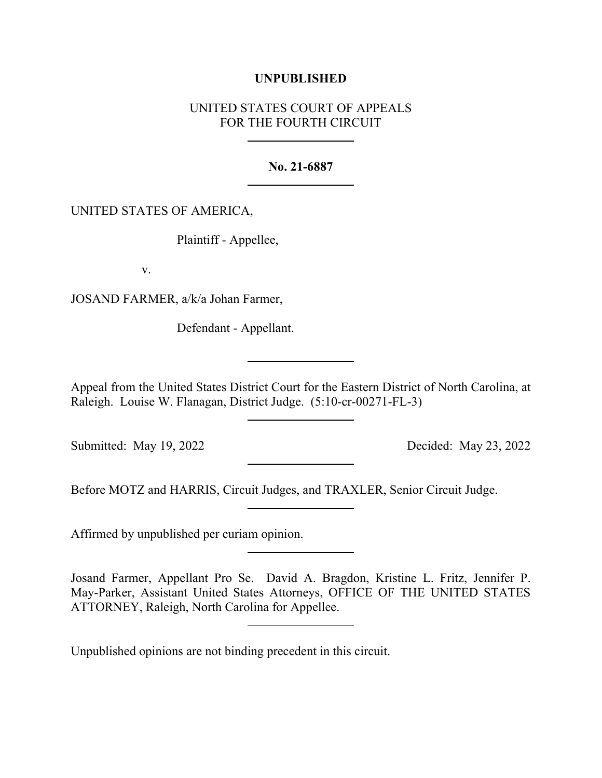## **UNPUBLISHED**

## UNITED STATES COURT OF APPEALS FOR THE FOURTH CIRCUIT

## **No. 21-6887**

## UNITED STATES OF AMERICA,

Plaintiff - Appellee,

v.

JOSAND FARMER, a/k/a Johan Farmer,

Defendant - Appellant.

Appeal from the United States District Court for the Eastern District of North Carolina, at Raleigh. Louise W. Flanagan, District Judge. (5:10-cr-00271-FL-3)

Submitted: May 19, 2022 Decided: May 23, 2022

Before MOTZ and HARRIS, Circuit Judges, and TRAXLER, Senior Circuit Judge.

Affirmed by unpublished per curiam opinion.

Josand Farmer, Appellant Pro Se. David A. Bragdon, Kristine L. Fritz, Jennifer P. May-Parker, Assistant United States Attorneys, OFFICE OF THE UNITED STATES ATTORNEY, Raleigh, North Carolina for Appellee.

Unpublished opinions are not binding precedent in this circuit.